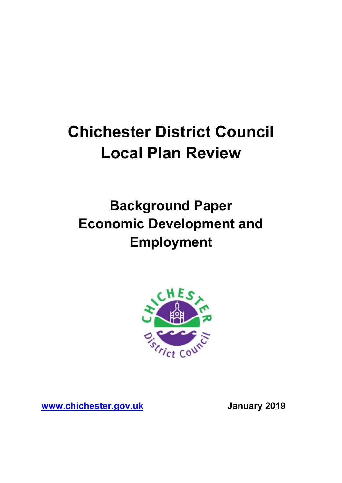# **Chichester District Council Local Plan Review**

# **Background Paper Economic Development and Employment**



**[www.chichester.gov.uk](http://www.chichester.gov.uk/) January 2019**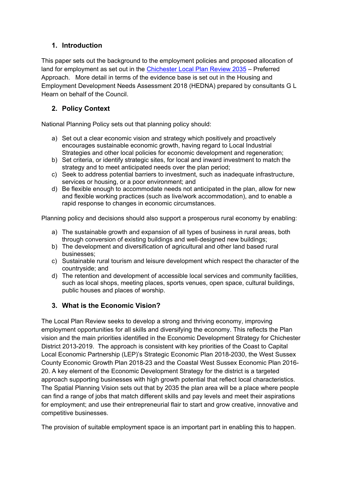# **1. Introduction**

This paper sets out the background to the employment policies and proposed allocation of land for employment as set out in the [Chichester Local Plan Review](https://www.chichester.gov.uk/localplanreview) 2035 – Preferred Approach. More detail in terms of the evidence base is set out in the Housing and Employment Development Needs Assessment 2018 (HEDNA) prepared by consultants G L Hearn on behalf of the Council.

# **2. Policy Context**

National Planning Policy sets out that planning policy should:

- a) Set out a clear economic vision and strategy which positively and proactively encourages sustainable economic growth, having regard to Local Industrial Strategies and other local policies for economic development and regeneration;
- b) Set criteria, or identify strategic sites, for local and inward investment to match the strategy and to meet anticipated needs over the plan period;
- c) Seek to address potential barriers to investment, such as inadequate infrastructure, services or housing, or a poor environment; and
- d) Be flexible enough to accommodate needs not anticipated in the plan, allow for new and flexible working practices (such as live/work accommodation), and to enable a rapid response to changes in economic circumstances.

Planning policy and decisions should also support a prosperous rural economy by enabling:

- a) The sustainable growth and expansion of all types of business in rural areas, both through conversion of existing buildings and well-designed new buildings;
- b) The development and diversification of agricultural and other land based rural businesses;
- c) Sustainable rural tourism and leisure development which respect the character of the countryside; and
- d) The retention and development of accessible local services and community facilities, such as local shops, meeting places, sports venues, open space, cultural buildings, public houses and places of worship.

### **3. What is the Economic Vision?**

The Local Plan Review seeks to develop a strong and thriving economy, improving employment opportunities for all skills and diversifying the economy. This reflects the Plan vision and the main priorities identified in the Economic Development Strategy for Chichester District 2013-2019. The approach is consistent with key priorities of the Coast to Capital Local Economic Partnership (LEP)'s Strategic Economic Plan 2018-2030, the West Sussex County Economic Growth Plan 2018-23 and the Coastal West Sussex Economic Plan 2016- 20. A key element of the Economic Development Strategy for the district is a targeted approach supporting businesses with high growth potential that reflect local characteristics. The Spatial Planning Vision sets out that by 2035 the plan area will be a place where people can find a range of jobs that match different skills and pay levels and meet their aspirations for employment; and use their entrepreneurial flair to start and grow creative, innovative and competitive businesses.

The provision of suitable employment space is an important part in enabling this to happen.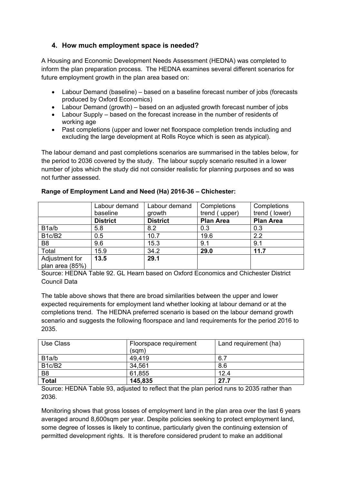### **4. How much employment space is needed?**

A Housing and Economic Development Needs Assessment (HEDNA) was completed to inform the plan preparation process. The HEDNA examines several different scenarios for future employment growth in the plan area based on:

- Labour Demand (baseline) based on a baseline forecast number of jobs (forecasts produced by Oxford Economics)
- Labour Demand (growth) based on an adjusted growth forecast number of jobs
- Labour Supply based on the forecast increase in the number of residents of working age
- Past completions (upper and lower net floorspace completion trends including and excluding the large development at Rolls Royce which is seen as atypical).

The labour demand and past completions scenarios are summarised in the tables below, for the period to 2036 covered by the study. The labour supply scenario resulted in a lower number of jobs which the study did not consider realistic for planning purposes and so was not further assessed.

|                                 | Labour demand   | Labour demand   | Completions      | Completions      |
|---------------------------------|-----------------|-----------------|------------------|------------------|
|                                 | baseline        | growth          | trend (upper)    | trend (lower)    |
|                                 | <b>District</b> | <b>District</b> | <b>Plan Area</b> | <b>Plan Area</b> |
| B <sub>1</sub> a/b              | 5.8             | 8.2             | 0.3              | 0.3              |
| B <sub>1c</sub> /B <sub>2</sub> | 0.5             | 10.7            | 19.6             | 2.2              |
| B <sub>8</sub>                  | 9.6             | 15.3            | 9.1              | 9.1              |
| Total                           | 15.9            | 34.2            | 29.0             | 11.7             |
| Adjustment for                  | 13.5            | 29.1            |                  |                  |
| plan area (85%)                 |                 |                 |                  |                  |

#### **Range of Employment Land and Need (Ha) 2016-36 – Chichester:**

Source: HEDNA Table 92. GL Hearn based on Oxford Economics and Chichester District Council Data

The table above shows that there are broad similarities between the upper and lower expected requirements for employment land whether looking at labour demand or at the completions trend. The HEDNA preferred scenario is based on the labour demand growth scenario and suggests the following floorspace and land requirements for the period 2016 to 2035.

| Use Class                       | Floorspace requirement<br>(sqm) | Land requirement (ha) |
|---------------------------------|---------------------------------|-----------------------|
| B <sub>1</sub> a/b              | 49,419                          | 6.7                   |
| B <sub>1c</sub> /B <sub>2</sub> | 34,561                          | 8.6                   |
| B <sub>8</sub>                  | 61,855                          | 12.4                  |
| <b>Total</b>                    | 145,835                         | 27.7                  |

Source: HEDNA Table 93, adjusted to reflect that the plan period runs to 2035 rather than 2036.

Monitoring shows that gross losses of employment land in the plan area over the last 6 years averaged around 8,600sqm per year. Despite policies seeking to protect employment land, some degree of losses is likely to continue, particularly given the continuing extension of permitted development rights. It is therefore considered prudent to make an additional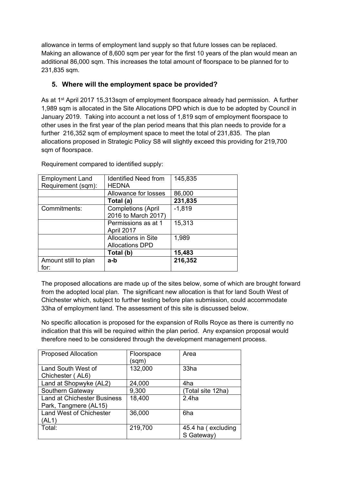allowance in terms of employment land supply so that future losses can be replaced. Making an allowance of 8,600 sqm per year for the first 10 years of the plan would mean an additional 86,000 sqm. This increases the total amount of floorspace to be planned for to 231,835 sqm.

# **5. Where will the employment space be provided?**

As at 1st April 2017 15,313sqm of employment floorspace already had permission. A further 1,989 sqm is allocated in the Site Allocations DPD which is due to be adopted by Council in January 2019. Taking into account a net loss of 1,819 sqm of employment floorspace to other uses in the first year of the plan period means that this plan needs to provide for a further 216,352 sqm of employment space to meet the total of 231,835. The plan allocations proposed in Strategic Policy S8 will slightly exceed this providing for 219,700 sqm of floorspace.

| <b>Employment Land</b> | <b>Identified Need from</b> | 145,835  |
|------------------------|-----------------------------|----------|
| Requirement (sqm):     | <b>HEDNA</b>                |          |
|                        | Allowance for losses        | 86,000   |
|                        | Total (a)                   | 231,835  |
| Commitments:           | <b>Completions (April</b>   | $-1,819$ |
|                        | 2016 to March 2017)         |          |
|                        | Permissions as at 1         | 15,313   |
|                        | April 2017                  |          |
|                        | <b>Allocations in Site</b>  | 1,989    |
|                        | <b>Allocations DPD</b>      |          |
|                        | Total (b)                   | 15,483   |
| Amount still to plan   | a-b                         | 216,352  |
| for:                   |                             |          |

Requirement compared to identified supply:

The proposed allocations are made up of the sites below, some of which are brought forward from the adopted local plan. The significant new allocation is that for land South West of Chichester which, subject to further testing before plan submission, could accommodate 33ha of employment land. The assessment of this site is discussed below.

No specific allocation is proposed for the expansion of Rolls Royce as there is currently no indication that this will be required within the plan period. Any expansion proposal would therefore need to be considered through the development management process.

| <b>Proposed Allocation</b>                                  | Floorspace<br>(sqm) | Area                             |
|-------------------------------------------------------------|---------------------|----------------------------------|
| Land South West of<br>Chichester (AL6)                      | 132,000             | 33ha                             |
| Land at Shopwyke (AL2)                                      | 24,000              | 4ha                              |
| Southern Gateway                                            | 9,300               | (Total site 12ha)                |
| <b>Land at Chichester Business</b><br>Park, Tangmere (AL15) | 18,400              | 2.4ha                            |
| <b>Land West of Chichester</b><br>(AL1)                     | 36,000              | 6ha                              |
| Total:                                                      | 219,700             | 45.4 ha (excluding<br>S Gateway) |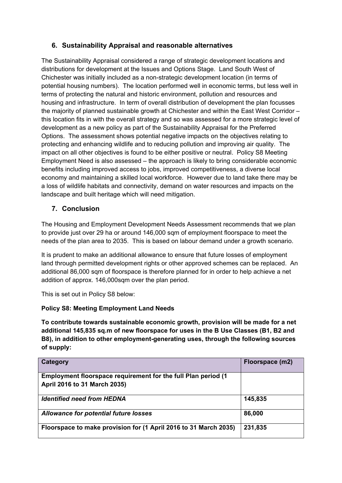# **6. Sustainability Appraisal and reasonable alternatives**

The Sustainability Appraisal considered a range of strategic development locations and distributions for development at the Issues and Options Stage. Land South West of Chichester was initially included as a non-strategic development location (in terms of potential housing numbers). The location performed well in economic terms, but less well in terms of protecting the natural and historic environment, pollution and resources and housing and infrastructure. In term of overall distribution of development the plan focusses the majority of planned sustainable growth at Chichester and within the East West Corridor – this location fits in with the overall strategy and so was assessed for a more strategic level of development as a new policy as part of the Sustainability Appraisal for the Preferred Options. The assessment shows potential negative impacts on the objectives relating to protecting and enhancing wildlife and to reducing pollution and improving air quality. The impact on all other objectives is found to be either positive or neutral. Policy S8 Meeting Employment Need is also assessed – the approach is likely to bring considerable economic benefits including improved access to jobs, improved competitiveness, a diverse local economy and maintaining a skilled local workforce. However due to land take there may be a loss of wildlife habitats and connectivity, demand on water resources and impacts on the landscape and built heritage which will need mitigation.

# **7. Conclusion**

The Housing and Employment Development Needs Assessment recommends that we plan to provide just over 29 ha or around 146,000 sqm of employment floorspace to meet the needs of the plan area to 2035. This is based on labour demand under a growth scenario.

It is prudent to make an additional allowance to ensure that future losses of employment land through permitted development rights or other approved schemes can be replaced. An additional 86,000 sqm of floorspace is therefore planned for in order to help achieve a net addition of approx. 146,000sqm over the plan period.

This is set out in Policy S8 below:

#### **Policy S8: Meeting Employment Land Needs**

**To contribute towards sustainable economic growth, provision will be made for a net additional 145,835 sq.m of new floorspace for uses in the B Use Classes (B1, B2 and B8), in addition to other employment-generating uses, through the following sources of supply:**

| Category                                                         | Floorspace (m2) |
|------------------------------------------------------------------|-----------------|
| Employment floorspace requirement for the full Plan period (1)   |                 |
| April 2016 to 31 March 2035)                                     |                 |
| <b>Identified need from HEDNA</b>                                | 145,835         |
| <b>Allowance for potential future losses</b>                     | 86,000          |
| Floorspace to make provision for (1 April 2016 to 31 March 2035) | 231,835         |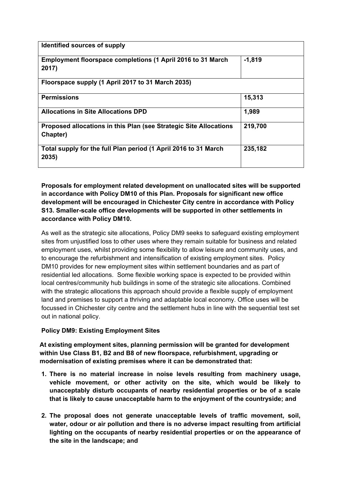| Identified sources of supply                                                  |          |
|-------------------------------------------------------------------------------|----------|
| Employment floorspace completions (1 April 2016 to 31 March<br>2017)          | $-1,819$ |
| Floorspace supply (1 April 2017 to 31 March 2035)                             |          |
| <b>Permissions</b>                                                            | 15,313   |
| <b>Allocations in Site Allocations DPD</b>                                    | 1,989    |
| Proposed allocations in this Plan (see Strategic Site Allocations<br>Chapter) | 219,700  |
| Total supply for the full Plan period (1 April 2016 to 31 March<br>2035)      | 235,182  |

#### **Proposals for employment related development on unallocated sites will be supported in accordance with Policy DM10 of this Plan. Proposals for significant new office development will be encouraged in Chichester City centre in accordance with Policy S13. Smaller-scale office developments will be supported in other settlements in accordance with Policy DM10.**

As well as the strategic site allocations, Policy DM9 seeks to safeguard existing employment sites from unjustified loss to other uses where they remain suitable for business and related employment uses, whilst providing some flexibility to allow leisure and community uses, and to encourage the refurbishment and intensification of existing employment sites. Policy DM10 provides for new employment sites within settlement boundaries and as part of residential led allocations. Some flexible working space is expected to be provided within local centres/community hub buildings in some of the strategic site allocations. Combined with the strategic allocations this approach should provide a flexible supply of employment land and premises to support a thriving and adaptable local economy. Office uses will be focussed in Chichester city centre and the settlement hubs in line with the sequential test set out in national policy.

#### **Policy DM9: Existing Employment Sites**

**At existing employment sites, planning permission will be granted for development within Use Class B1, B2 and B8 of new floorspace, refurbishment, upgrading or modernisation of existing premises where it can be demonstrated that:** 

- **1. There is no material increase in noise levels resulting from machinery usage, vehicle movement, or other activity on the site, which would be likely to unacceptably disturb occupants of nearby residential properties or be of a scale that is likely to cause unacceptable harm to the enjoyment of the countryside; and**
- **2. The proposal does not generate unacceptable levels of traffic movement, soil, water, odour or air pollution and there is no adverse impact resulting from artificial lighting on the occupants of nearby residential properties or on the appearance of the site in the landscape; and**